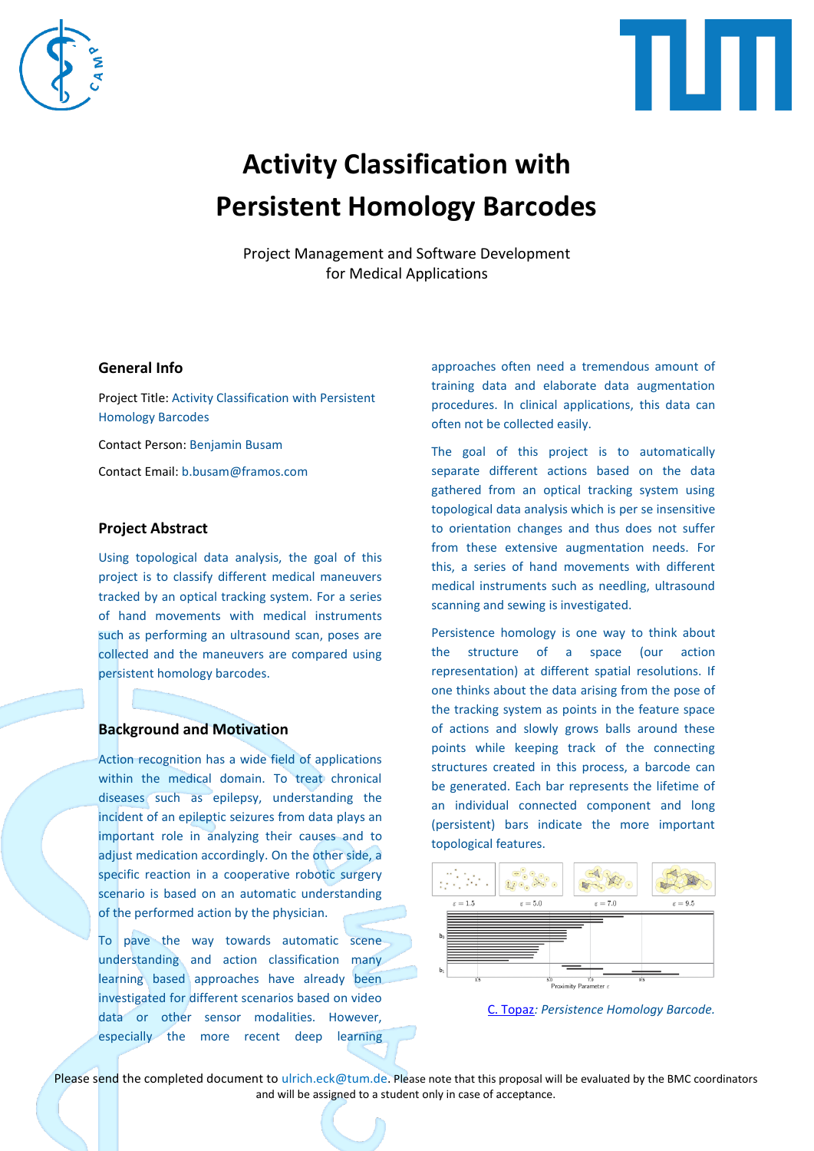



# **Activity Classification with Persistent Homology Barcodes**

Project Management and Software Development for Medical Applications

# **General Info**

Project Title: Activity Classification with Persistent Homology Barcodes

Contact Person: Benjamin Busam

Contact Email: b.busam@framos.com

### **Project Abstract**

Using topological data analysis, the goal of this project is to classify different medical maneuvers tracked by an optical tracking system. For a series of hand movements with medical instruments such as performing an ultrasound scan, poses are collected and the maneuvers are compared using persistent homology barcodes.

## **Background and Motivation**

Action recognition has a wide field of applications within the medical domain. To treat chronical diseases such as epilepsy, understanding the incident of an epileptic seizures from data plays an important role in analyzing their causes and to adjust medication accordingly. On the other side, a specific reaction in a cooperative robotic surgery scenario is based on an automatic understanding of the performed action by the physician.

To pave the way towards automatic scene understanding and action classification many learning based approaches have already been investigated for different scenarios based on video data or other sensor modalities. However, especially the more recent deep learning approaches often need a tremendous amount of training data and elaborate data augmentation procedures. In clinical applications, this data can often not be collected easily.

The goal of this project is to automatically separate different actions based on the data gathered from an optical tracking system using topological data analysis which is per se insensitive to orientation changes and thus does not suffer from these extensive augmentation needs. For this, a series of hand movements with different medical instruments such as needling, ultrasound scanning and sewing is investigated.

Persistence homology is one way to think about the structure of a space (our action representation) at different spatial resolutions. If one thinks about the data arising from the pose of the tracking system as points in the feature space of actions and slowly grows balls around these points while keeping track of the connecting structures created in this process, a barcode can be generated. Each bar represents the lifetime of an individual connected component and long (persistent) bars indicate the more important topological features.





Please send the completed document to ulrich.eck@tum.de. Please note that this proposal will be evaluated by the BMC coordinators and will be assigned to a student only in case of acceptance.